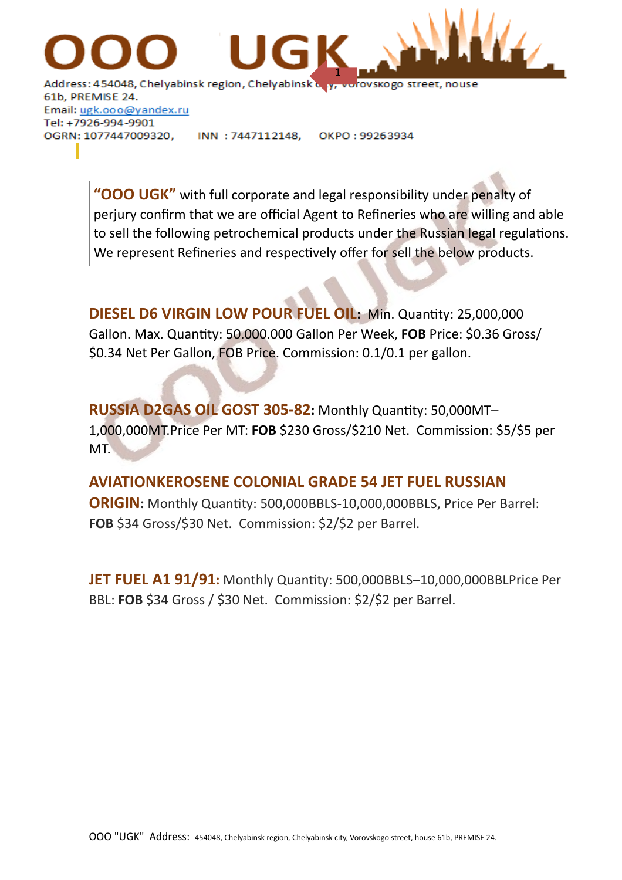

61b, PREMISE 24. Email: ugk.ooo@yandex.ru Tel: +7926-994-9901 OGRN: 1077447009320, OKPO: 99263934 INN: 7447112148,

> **"OOO UGK"** with full corporate and legal responsibility under penalty of perjury confirm that we are official Agent to Refineries who are willing and able to sell the following petrochemical products under the Russian legal regulations. We represent Refineries and respectively offer for sell the below products.

**DIESEL D6 VIRGIN LOW POUR FUEL OIL:** Min. Quantity: 25,000,000 Gallon. Max. Quantity: 50.000.000 Gallon Per Week, **FOB** Price: \$0.36 Gross/ \$0.34 Net Per Gallon, FOB Price. Commission: 0.1/0.1 per gallon.

**RUSSIA D2GAS OIL GOST 305-82:** Monthly Quantity: 50,000MT– 1,000,000MT.Price Per MT: **FOB** \$230 Gross/\$210 Net. Commission: \$5/\$5 per MT.

## **AVIATIONKEROSENE COLONIAL GRADE 54 JET FUEL RUSSIAN**

**ORIGIN:** Monthly Quantity: 500,000BBLS-10,000,000BBLS, Price Per Barrel: **FOB** \$34 Gross/\$30 Net. Commission: \$2/\$2 per Barrel.

**JET FUEL A1 91/91:** Monthly Quantity: 500,000BBLS–10,000,000BBLPrice Per BBL: **FOB** \$34 Gross / \$30 Net. Commission: \$2/\$2 per Barrel.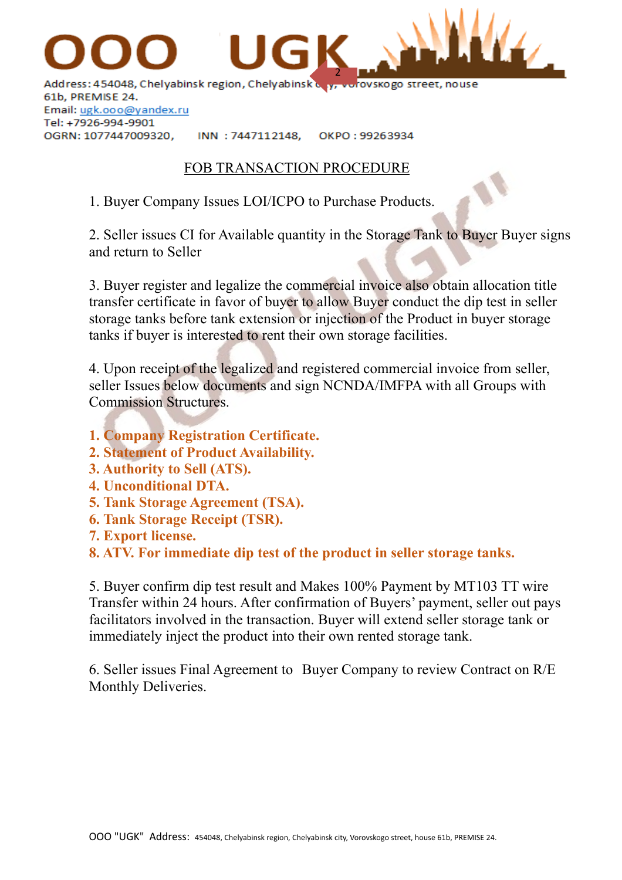

61b, PREMISE 24. Email: ugk.ooo@yandex.ru Tel: +7926-994-9901 OGRN: 1077447009320,

INN: 7447112148. OKPO: 99263934

## FOB TRANSACTION PROCEDURE

1. Buyer Company Issues LOI/ICPO to Purchase Products.

2. Seller issues CI for Available quantity in the Storage Tank to Buyer Buyer signs and return to Seller

3. Buyer register and legalize the commercial invoice also obtain allocation title transfer certificate in favor of buyer to allow Buyer conduct the dip test in seller storage tanks before tank extension or injection of the Product in buyer storage tanks if buyer is interested to rent their own storage facilities.

4. Upon receipt of the legalized and registered commercial invoice from seller, seller Issues below documents and sign NCNDA/IMFPA with all Groups with Commission Structures.

- **1. Company Registration Certificate.**
- **2. Statement of Product Availability.**
- **3. Authority to Sell (ATS).**
- **4. Unconditional DTA.**
- **5. Tank Storage Agreement (TSA).**
- **6. Tank Storage Receipt (TSR).**
- **7. Export license.**

**8. ATV. For immediate dip test of the product in seller storage tanks.**

5. Buyer confirm dip test result and Makes 100% Payment by MT103 TT wire Transfer within 24 hours. After confirmation of Buyers' payment, seller out pays facilitators involved in the transaction. Buyer will extend seller storage tank or immediately inject the product into their own rented storage tank.

6. Seller issues Final Agreement to Buyer Company to review Contract on R/E Monthly Deliveries.